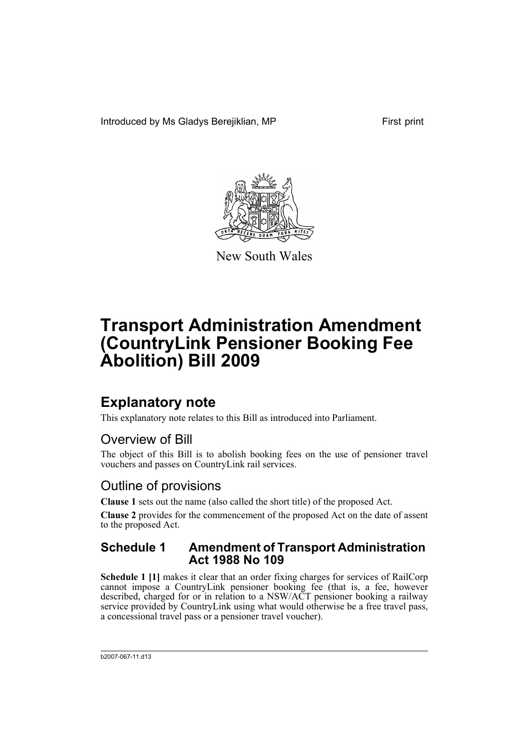Introduced by Ms Gladys Berejiklian, MP First print



New South Wales

# **Transport Administration Amendment (CountryLink Pensioner Booking Fee Abolition) Bill 2009**

## **Explanatory note**

This explanatory note relates to this Bill as introduced into Parliament.

### Overview of Bill

The object of this Bill is to abolish booking fees on the use of pensioner travel vouchers and passes on CountryLink rail services.

### Outline of provisions

**Clause 1** sets out the name (also called the short title) of the proposed Act.

**Clause 2** provides for the commencement of the proposed Act on the date of assent to the proposed Act.

#### **Schedule 1 Amendment of Transport Administration Act 1988 No 109**

**Schedule 1 [1]** makes it clear that an order fixing charges for services of RailCorp cannot impose a CountryLink pensioner booking fee (that is, a fee, however described, charged for or in relation to a NSW/ACT pensioner booking a railway service provided by CountryLink using what would otherwise be a free travel pass, a concessional travel pass or a pensioner travel voucher).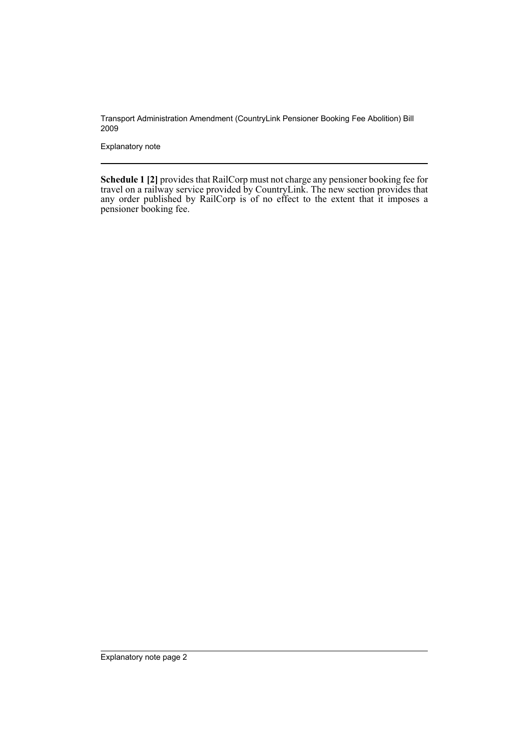Transport Administration Amendment (CountryLink Pensioner Booking Fee Abolition) Bill 2009

Explanatory note

**Schedule 1 [2]** provides that RailCorp must not charge any pensioner booking fee for travel on a railway service provided by CountryLink. The new section provides that any order published by RailCorp is of no effect to the extent that it imposes a pensioner booking fee.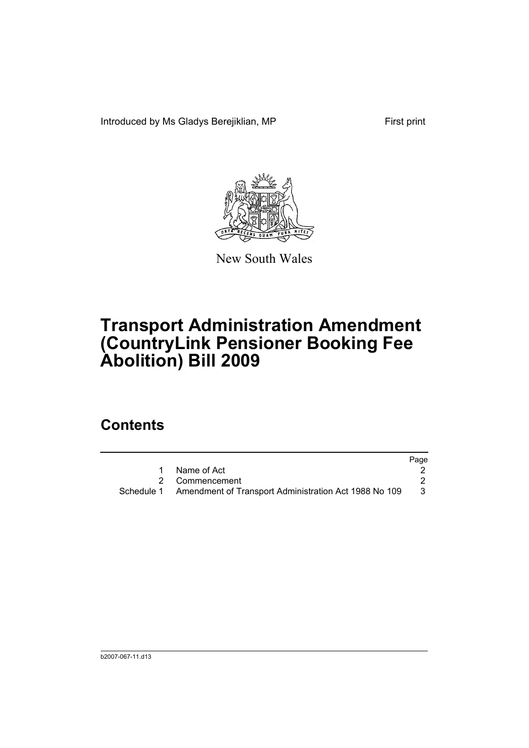Introduced by Ms Gladys Berejiklian, MP First print



New South Wales

# **Transport Administration Amendment (CountryLink Pensioner Booking Fee Abolition) Bill 2009**

### **Contents**

|                                                                  | Page |
|------------------------------------------------------------------|------|
| Name of Act                                                      |      |
| 2 Commencement                                                   |      |
| Schedule 1 Amendment of Transport Administration Act 1988 No 109 | 3    |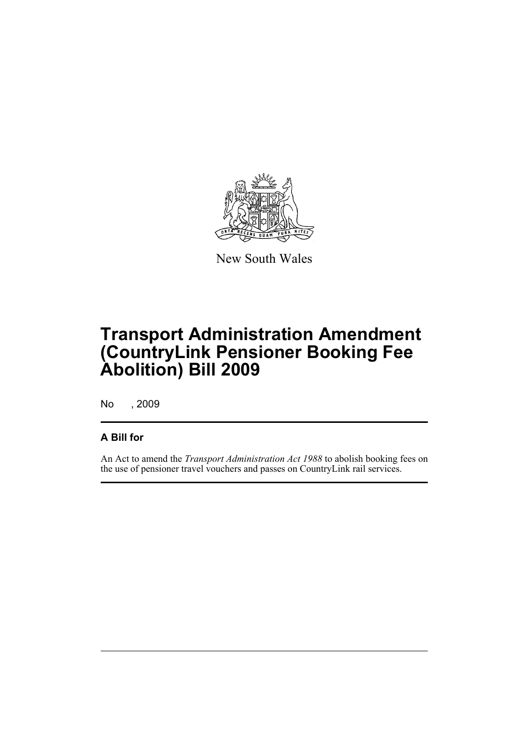

New South Wales

## **Transport Administration Amendment (CountryLink Pensioner Booking Fee Abolition) Bill 2009**

No , 2009

#### **A Bill for**

An Act to amend the *Transport Administration Act 1988* to abolish booking fees on the use of pensioner travel vouchers and passes on CountryLink rail services.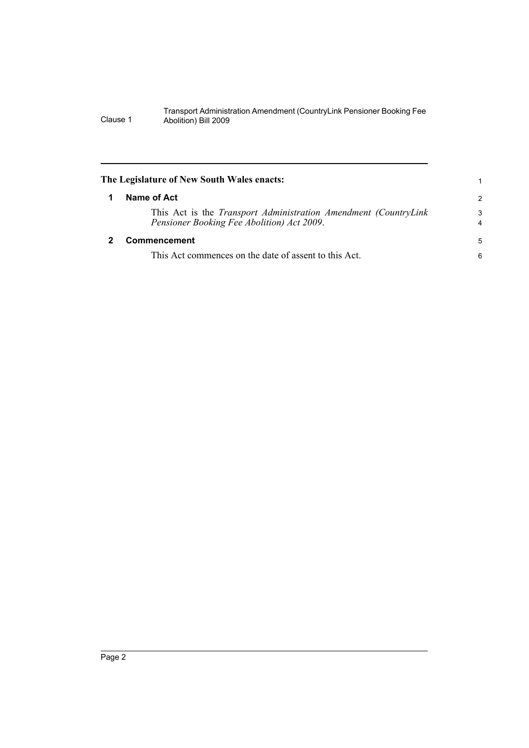Transport Administration Amendment (CountryLink Pensioner Booking Fee Clause 1 Abolition) Bill 2009

<span id="page-5-1"></span><span id="page-5-0"></span>

| The Legislature of New South Wales enacts:                                                                             |                     |
|------------------------------------------------------------------------------------------------------------------------|---------------------|
| Name of Act                                                                                                            | 2                   |
| This Act is the <i>Transport Administration Amendment (CountryLink</i> )<br>Pensioner Booking Fee Abolition) Act 2009. | 3<br>$\overline{4}$ |
| Commencement                                                                                                           | 5                   |
| This Act commences on the date of assent to this Act.                                                                  | 6                   |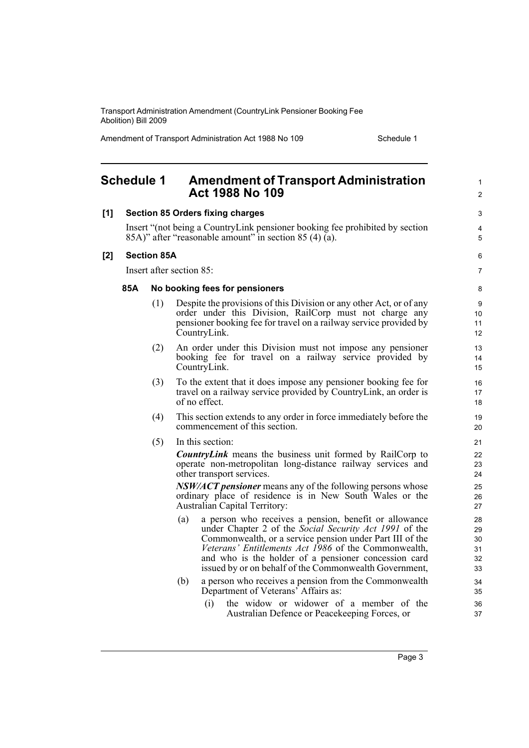Transport Administration Amendment (CountryLink Pensioner Booking Fee Abolition) Bill 2009

Amendment of Transport Administration Act 1988 No 109 Schedule 1

<span id="page-6-0"></span>

|     | <b>Schedule 1</b>                                                                                                                      |                          |     | <b>Amendment of Transport Administration</b><br><b>Act 1988 No 109</b>                                                                                                                                                                                                                                                                                | 1<br>$\overline{c}$              |
|-----|----------------------------------------------------------------------------------------------------------------------------------------|--------------------------|-----|-------------------------------------------------------------------------------------------------------------------------------------------------------------------------------------------------------------------------------------------------------------------------------------------------------------------------------------------------------|----------------------------------|
| [1] | <b>Section 85 Orders fixing charges</b>                                                                                                |                          |     |                                                                                                                                                                                                                                                                                                                                                       |                                  |
|     | Insert "(not being a CountryLink pensioner booking fee prohibited by section<br>85A)" after "reasonable amount" in section 85 (4) (a). |                          |     |                                                                                                                                                                                                                                                                                                                                                       | 4<br>5                           |
| [2] | <b>Section 85A</b>                                                                                                                     |                          |     |                                                                                                                                                                                                                                                                                                                                                       | 6                                |
|     |                                                                                                                                        | Insert after section 85: |     |                                                                                                                                                                                                                                                                                                                                                       |                                  |
|     | 85A                                                                                                                                    |                          |     | No booking fees for pensioners                                                                                                                                                                                                                                                                                                                        | 8                                |
|     |                                                                                                                                        | (1)                      |     | Despite the provisions of this Division or any other Act, or of any<br>order under this Division, RailCorp must not charge any<br>pensioner booking fee for travel on a railway service provided by<br>CountryLink.                                                                                                                                   | 9<br>10<br>11<br>12              |
|     |                                                                                                                                        | (2)                      |     | An order under this Division must not impose any pensioner<br>booking fee for travel on a railway service provided by<br>CountryLink.                                                                                                                                                                                                                 | 13<br>14<br>15                   |
|     |                                                                                                                                        | (3)                      |     | To the extent that it does impose any pensioner booking fee for<br>travel on a railway service provided by CountryLink, an order is<br>of no effect.                                                                                                                                                                                                  | 16<br>17<br>18                   |
|     |                                                                                                                                        | (4)                      |     | This section extends to any order in force immediately before the<br>commencement of this section.                                                                                                                                                                                                                                                    | 19<br>20                         |
|     |                                                                                                                                        | (5)                      |     | In this section:                                                                                                                                                                                                                                                                                                                                      | 21                               |
|     |                                                                                                                                        |                          |     | <b>CountryLink</b> means the business unit formed by RailCorp to<br>operate non-metropolitan long-distance railway services and<br>other transport services.                                                                                                                                                                                          | 22<br>23<br>24                   |
|     |                                                                                                                                        |                          |     | <i>NSW/ACT pensioner</i> means any of the following persons whose<br>ordinary place of residence is in New South Wales or the<br><b>Australian Capital Territory:</b>                                                                                                                                                                                 | 25<br>26<br>27                   |
|     |                                                                                                                                        |                          | (a) | a person who receives a pension, benefit or allowance<br>under Chapter 2 of the Social Security Act 1991 of the<br>Commonwealth, or a service pension under Part III of the<br>Veterans' Entitlements Act 1986 of the Commonwealth,<br>and who is the holder of a pensioner concession card<br>issued by or on behalf of the Commonwealth Government, | 28<br>29<br>30<br>31<br>32<br>33 |
|     |                                                                                                                                        |                          | (b) | a person who receives a pension from the Commonwealth<br>Department of Veterans' Affairs as:                                                                                                                                                                                                                                                          | 34<br>35                         |
|     |                                                                                                                                        |                          |     | the widow or widower of a member of the<br>(i)<br>Australian Defence or Peacekeeping Forces, or                                                                                                                                                                                                                                                       | 36<br>37                         |